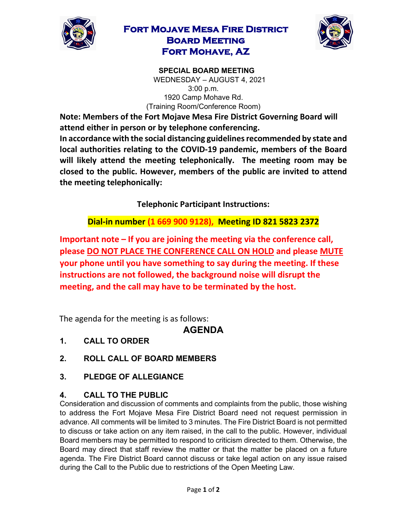

## **Fort Mojave Mesa Fire District Board Meeting Fort Mohave, AZ**



**SPECIAL BOARD MEETING**  WEDNESDAY – AUGUST 4, 2021 3:00 p.m. 1920 Camp Mohave Rd. (Training Room/Conference Room)

**Note: Members of the Fort Mojave Mesa Fire District Governing Board will attend either in person or by telephone conferencing. In accordance with the social distancing guidelines recommended by state and local authorities relating to the COVID-19 pandemic, members of the Board** 

**will likely attend the meeting telephonically. The meeting room may be closed to the public. However, members of the public are invited to attend the meeting telephonically:** 

**Telephonic Participant Instructions:**

**Dial-in number (1 669 900 9128), Meeting ID 821 5823 2372** 

**Important note – If you are joining the meeting via the conference call, please DO NOT PLACE THE CONFERENCE CALL ON HOLD and please MUTE your phone until you have something to say during the meeting. If these instructions are not followed, the background noise will disrupt the meeting, and the call may have to be terminated by the host.**

The agenda for the meeting is as follows:

## **AGENDA**

- **1. CALL TO ORDER**
- **2. ROLL CALL OF BOARD MEMBERS**
- **3. PLEDGE OF ALLEGIANCE**

## **4. CALL TO THE PUBLIC**

Consideration and discussion of comments and complaints from the public, those wishing to address the Fort Mojave Mesa Fire District Board need not request permission in advance. All comments will be limited to 3 minutes. The Fire District Board is not permitted to discuss or take action on any item raised, in the call to the public. However, individual Board members may be permitted to respond to criticism directed to them. Otherwise, the Board may direct that staff review the matter or that the matter be placed on a future agenda. The Fire District Board cannot discuss or take legal action on any issue raised during the Call to the Public due to restrictions of the Open Meeting Law.